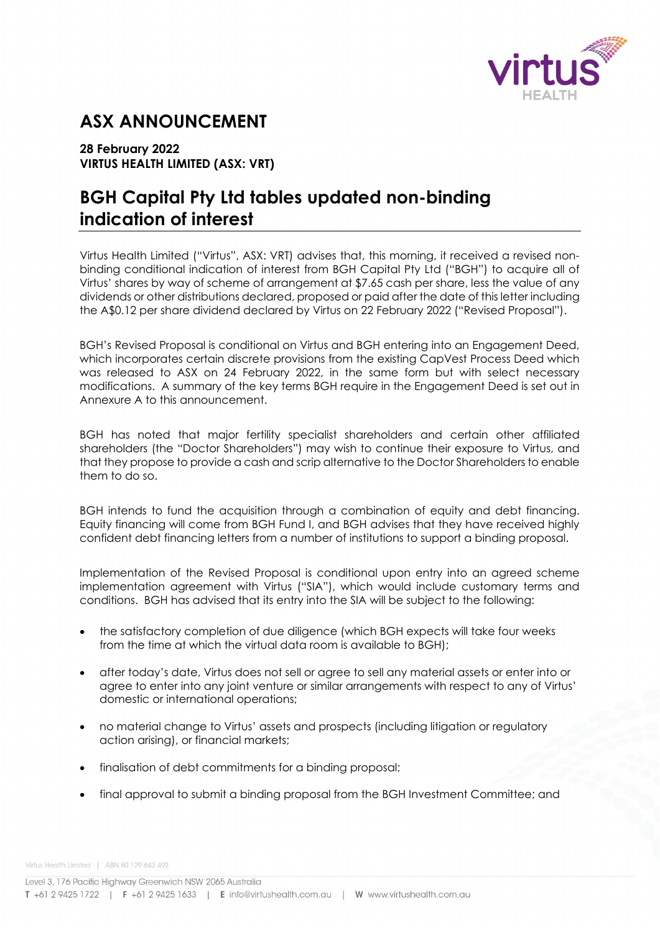

# **ASX ANNOUNCEMENT**

## **28 February 2022 VIRTUS HEALTH LIMITED (ASX: VRT)**

# **BGH Capital Pty Ltd tables updated non-binding indication of interest**

Virtus Health Limited ("Virtus", ASX: VRT) advises that, this morning, it received a revised nonbinding conditional indication of interest from BGH Capital Pty Ltd ("BGH") to acquire all of Virtus' shares by way of scheme of arrangement at \$7.65 cash per share, less the value of any dividends or other distributions declared, proposed or paid after the date of this letter including the A\$0.12 per share dividend declared by Virtus on 22 February 2022 ("Revised Proposal").

BGH's Revised Proposal is conditional on Virtus and BGH entering into an Engagement Deed, which incorporates certain discrete provisions from the existing CapVest Process Deed which was released to ASX on 24 February 2022, in the same form but with select necessary modifications. A summary of the key terms BGH require in the Engagement Deed is set out in Annexure A to this announcement.

BGH has noted that major fertility specialist shareholders and certain other affiliated shareholders (the "Doctor Shareholders") may wish to continue their exposure to Virtus, and that they propose to provide a cash and scrip alternative to the Doctor Shareholders to enable them to do so.

BGH intends to fund the acquisition through a combination of equity and debt financing. Equity financing will come from BGH Fund I, and BGH advises that they have received highly confident debt financing letters from a number of institutions to support a binding proposal.

Implementation of the Revised Proposal is conditional upon entry into an agreed scheme implementation agreement with Virtus ("SIA"), which would include customary terms and conditions. BGH has advised that its entry into the SIA will be subject to the following:

- the satisfactory completion of due diligence (which BGH expects will take four weeks from the time at which the virtual data room is available to BGH);
- after today's date, Virtus does not sell or agree to sell any material assets or enter into or agree to enter into any joint venture or similar arrangements with respect to any of Virtus' domestic or international operations;
- no material change to Virtus' assets and prospects (including litigation or regulatory action arising), or financial markets;
- finalisation of debt commitments for a binding proposal;
- final approval to submit a binding proposal from the BGH Investment Committee; and

Virtus Health Limited | ABN 80 129 643 492

Level 3, 176 Pacific Highway Greenwich NSW 2065 Australia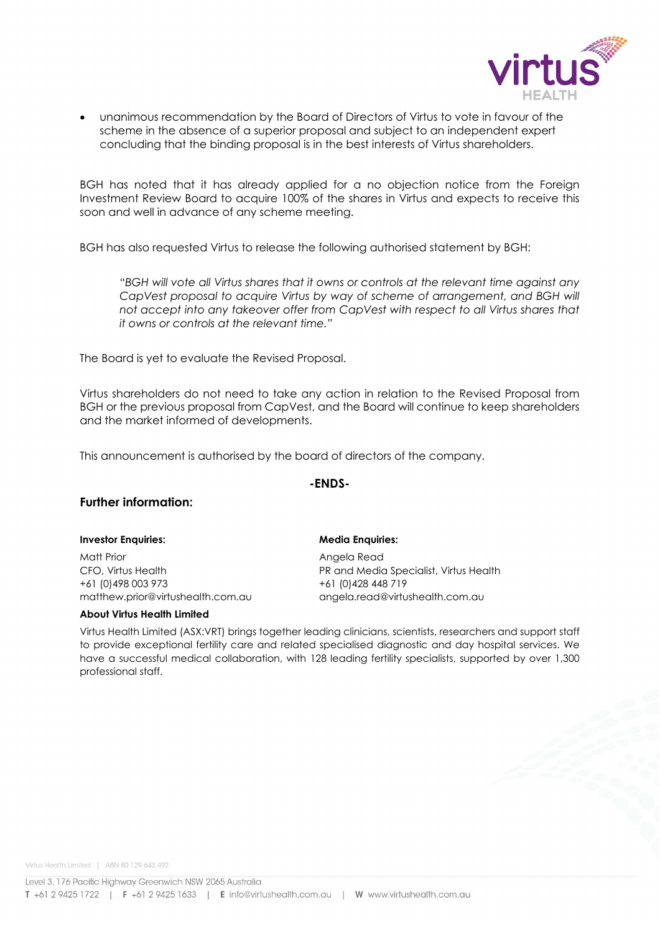

• unanimous recommendation by the Board of Directors of Virtus to vote in favour of the scheme in the absence of a superior proposal and subject to an independent expert concluding that the binding proposal is in the best interests of Virtus shareholders.

BGH has noted that it has already applied for a no objection notice from the Foreign Investment Review Board to acquire 100% of the shares in Virtus and expects to receive this soon and well in advance of any scheme meeting.

BGH has also requested Virtus to release the following authorised statement by BGH:

*"BGH will vote all Virtus shares that it owns or controls at the relevant time against any*  CapVest proposal to acquire Virtus by way of scheme of arrangement, and BGH will *not accept into any takeover offer from CapVest with respect to all Virtus shares that it owns or controls at the relevant time."*

The Board is yet to evaluate the Revised Proposal.

Virtus shareholders do not need to take any action in relation to the Revised Proposal from BGH or the previous proposal from CapVest, and the Board will continue to keep shareholders and the market informed of developments.

This announcement is authorised by the board of directors of the company.

### **-ENDS-**

### **Further information:**

#### **Investor Enquiries: Media Enquiries:**

Matt Prior **Matt Prior** Angela Read CFO, Virtus Health PR and Media Specialist, Virtus Health +61 (0)498 003 973 +61 (0)428 448 719 matthew.prior@virtushealth.com.au angela.read@virtushealth.com.au

#### **About Virtus Health Limited**

Virtus Health Limited (ASX:VRT) brings together leading clinicians, scientists, researchers and support staff to provide exceptional fertility care and related specialised diagnostic and day hospital services. We have a successful medical collaboration, with 128 leading fertility specialists, supported by over 1,300 professional staff.

Virtus Health Limited | ABN 80 129 643 492